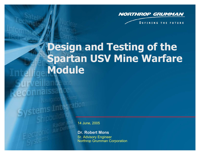

**DEFINING THE FUTURE** 

# **Design and Testing of the Spartan USV Mine Warfare Module Lellfa urveillance and** econnaissance Navigation Systems Systems Integration 14 June, 2005 **Dr. Robert Mons**Sr. Advisory Engineer

Northrop Grumman Corporation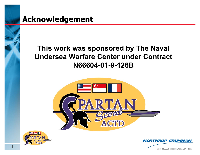### **This work was sponsored by The Naval Undersea Warfare Center under Contract N66604-01-9-126B**





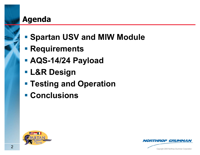- **Spartan USV and MIW Module**
- **Requirements**
- **AQS-14/24 Payload**
- **L&R Design**
- **Testing and Operation**
- **Conclusions**



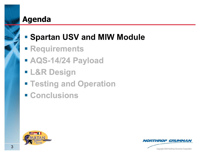# **- Spartan USV and MIW Module**

- **Requirements**
- **AQS-14/24 Payload**
- **L&R Design**
- **Testing and Operation**
- **Conclusions**



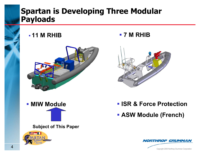### **Spartan is Developing Three Modular Payloads**

**11 M RHIB**









**Subject of This Paper**



- **ISR & Force Protection**
- **ASW Module (French)**

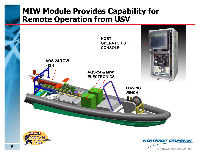#### **MIW Module Provides Capability for Remote Operation from USV**





**NORTHROP GRUMMAN**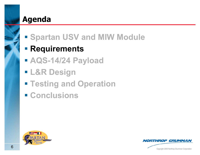# **Spartan USV and MIW Module**

# **Requirements**

- **AQS-14/24 Payload**
- **L&R Design**
- **Testing and Operation**
- **Conclusions**



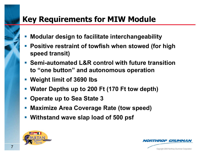# **Key Requirements for MIW Module**

- $\mathcal{L}_{\mathcal{A}}$ **Modular design to facilitate interchangeability**
- **Positive restraint of towfish when stowed (for high speed transit)**
- **Semi-automated L&R control with future transition to "one button" and autonomous operation**
- **Weight limit of 3690 lbs**
- and the state of the state of the state of the state of the state of the state of the state of the state of th **Water Depths up to 200 Ft (170 Ft tow depth)**
- **Operate up to Sea State 3**
- **Maximize Area Coverage Rate (tow speed)**
- **Withstand wave slap load of 500 psf**



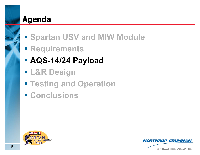- **Spartan USV and MIW Module**
- **Requirements**
- **AQS-14/24 Payload**
- **L&R Design**
- **Testing and Operation**
- **Conclusions**



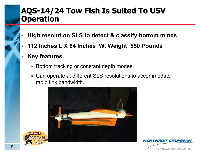#### **AQS-14/24 Tow Fish Is Suited To USV 14/24 Tow Fish Is Suited To USV Operation Operation**

- П **High resolution SLS to detect & classify bottom mines**
- П **112 Inches L X 64 Inches W. Weight 550 Pounds**
- $\mathcal{L}_{\mathcal{A}}$  **Key features**
	- **Bottom tracking or constant depth modes.**
	- Can operate at different SLS resolutions to accommodate radio link bandwidth.





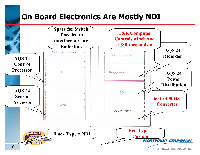# **On Board Electronics Are Mostly NDI**

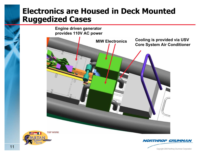#### **Electronics are Housed in Deck Mounted Ruggedized Cases**



**NORTHROP GRUMMAN** 

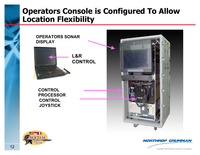#### **Operators Console is Configured To Allow Location Flexibility**



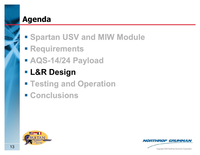- **Spartan USV and MIW Module**
- **Requirements**
- **AQS-14/24 Payload**
- **L&R Design**
- **Testing and Operation**
- **Conclusions**



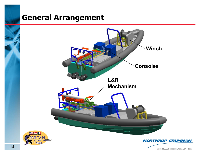# **General Arrangement**



Copyright 2005 Northrop Grumman Corporation <sup>14</sup>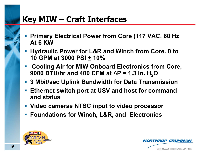# **Key MIW – Craft Interfaces**

- **Primary Electrical Power from Core (117 VAC, 60 Hz At 6 KW**
- **Hydraulic Power for L&R and Winch from Core. 0 to 10 GPM at 3000 PSI + 10%**
- **Cooling Air for MIW Onboard Electronics from Core,**  9000 BTU/hr and 400 CFM at ∆P = 1.3 in. H<sub>2</sub>O
- **3 Mbit/sec Uplink Bandwidth for Data Transmission**
- **Ethernet switch port at USV and host for command and status**
- **Video cameras NTSC input to video processor**
- **Foundations for Winch, L&R, and Electronics**



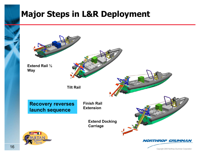# **Major Steps in L&R Deployment**

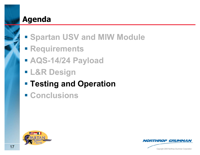- **Spartan USV and MIW Module**
- **Requirements**
- **AQS-14/24 Payload**
- **L&R Design**
- **Testing and Operation**
- **Conclusions**



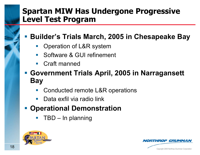### **Spartan MIW Has Undergone Progressive Level Test Program**

**Builder's Trials March, 2005 in Chesapeake Bay**

- Operation of L&R system
- $\mathbb{R}^n$ Software & GUI refinement
- $\mathcal{L}_{\mathcal{A}}$ Craft manned
- **Government Trials April, 2005 in Narragansett Bay**
	- Conducted remote L&R operations
	- Data exfil via radio link
- **Operational Demonstration**
	- TBD – In planning



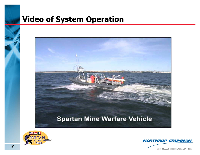### **Video of System Operation**





**NORTHROP GRUMMAN**